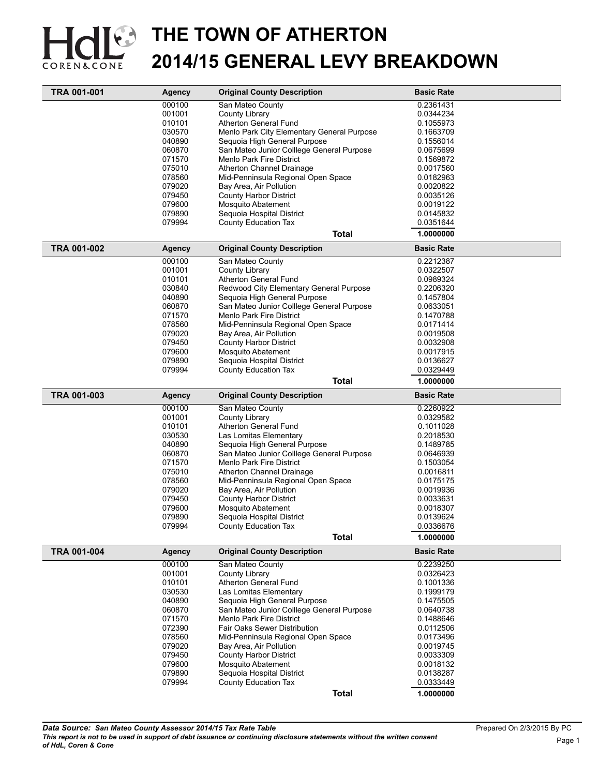

| TRA 001-001 | Agency           | <b>Original County Description</b>                                           | <b>Basic Rate</b>      |  |
|-------------|------------------|------------------------------------------------------------------------------|------------------------|--|
|             | 000100           | San Mateo County                                                             | 0.2361431              |  |
|             | 001001           | County Library                                                               | 0.0344234              |  |
|             | 010101           | Atherton General Fund                                                        | 0.1055973              |  |
|             | 030570           | Menlo Park City Elementary General Purpose                                   | 0.1663709              |  |
|             | 040890           | Sequoia High General Purpose                                                 | 0.1556014              |  |
|             | 060870           | San Mateo Junior Colllege General Purpose                                    | 0.0675699              |  |
|             | 071570           | Menlo Park Fire District                                                     | 0.1569872              |  |
|             | 075010           | Atherton Channel Drainage                                                    | 0.0017560              |  |
|             | 078560           | Mid-Penninsula Regional Open Space                                           | 0.0182963              |  |
|             | 079020           | Bay Area, Air Pollution                                                      | 0.0020822              |  |
|             | 079450           | <b>County Harbor District</b>                                                | 0.0035126              |  |
|             | 079600           | <b>Mosquito Abatement</b>                                                    | 0.0019122              |  |
|             | 079890           | Sequoia Hospital District                                                    | 0.0145832              |  |
|             | 079994           | County Education Tax                                                         | 0.0351644              |  |
|             |                  | <b>Total</b>                                                                 | 1.0000000              |  |
| TRA 001-002 | <b>Agency</b>    | <b>Original County Description</b>                                           | <b>Basic Rate</b>      |  |
|             | 000100           | San Mateo County                                                             | 0.2212387              |  |
|             | 001001           | County Library                                                               | 0.0322507              |  |
|             | 010101           | Atherton General Fund                                                        | 0.0989324              |  |
|             | 030840           | Redwood City Elementary General Purpose                                      | 0.2206320              |  |
|             | 040890           | Sequoia High General Purpose                                                 | 0.1457804              |  |
|             | 060870           | San Mateo Junior Colllege General Purpose                                    | 0.0633051              |  |
|             | 071570           | Menlo Park Fire District                                                     | 0.1470788              |  |
|             | 078560           | Mid-Penninsula Regional Open Space                                           | 0.0171414              |  |
|             | 079020           | Bay Area, Air Pollution                                                      | 0.0019508              |  |
|             | 079450           | <b>County Harbor District</b>                                                | 0.0032908              |  |
|             | 079600           | <b>Mosquito Abatement</b>                                                    | 0.0017915              |  |
|             | 079890           | Sequoia Hospital District                                                    | 0.0136627              |  |
|             | 079994           | <b>County Education Tax</b>                                                  | 0.0329449              |  |
|             |                  | <b>Total</b>                                                                 | 1.0000000              |  |
| TRA 001-003 | <b>Agency</b>    | <b>Original County Description</b>                                           | <b>Basic Rate</b>      |  |
|             | 000100           |                                                                              |                        |  |
|             | 001001           | San Mateo County<br>County Library                                           | 0.2260922<br>0.0329582 |  |
|             | 010101           | Atherton General Fund                                                        | 0.1011028              |  |
|             | 030530           |                                                                              |                        |  |
|             |                  | Las Lomitas Elementary                                                       | 0.2018530              |  |
|             | 040890<br>060870 | Sequoia High General Purpose                                                 | 0.1489785              |  |
|             | 071570           | San Mateo Junior Colllege General Purpose<br><b>Menlo Park Fire District</b> | 0.0646939              |  |
|             | 075010           |                                                                              | 0.1503054<br>0.0016811 |  |
|             | 078560           | Atherton Channel Drainage<br>Mid-Penninsula Regional Open Space              | 0.0175175              |  |
|             | 079020           | Bay Area, Air Pollution                                                      |                        |  |
|             |                  | <b>County Harbor District</b>                                                | 0.0019936              |  |
|             | 079450<br>079600 |                                                                              | 0.0033631              |  |
|             | 079890           | Mosquito Abatement<br>Sequoia Hospital District                              | 0.0018307<br>0.0139624 |  |
|             |                  |                                                                              | 0.0336676              |  |
|             | 079994           | County Education Tax<br><b>Total</b>                                         | 1.0000000              |  |
| TRA 001-004 | <b>Agency</b>    | <b>Original County Description</b>                                           | <b>Basic Rate</b>      |  |
|             | 000100           | San Mateo County                                                             | 0.2239250              |  |
|             | 001001           | County Library                                                               | 0.0326423              |  |
|             | 010101           | Atherton General Fund                                                        | 0.1001336              |  |
|             | 030530           | Las Lomitas Elementary                                                       | 0.1999179              |  |
|             | 040890           | Sequoia High General Purpose                                                 | 0.1475505              |  |
|             | 060870           | San Mateo Junior Colllege General Purpose                                    | 0.0640738              |  |
|             | 071570           | <b>Menlo Park Fire District</b>                                              | 0.1488646              |  |
|             | 072390           | Fair Oaks Sewer Distribution                                                 | 0.0112506              |  |
|             | 078560           | Mid-Penninsula Regional Open Space                                           | 0.0173496              |  |
|             | 079020           | Bay Area, Air Pollution                                                      | 0.0019745              |  |
|             | 079450           | <b>County Harbor District</b>                                                | 0.0033309              |  |
|             | 079600           | <b>Mosquito Abatement</b>                                                    | 0.0018132              |  |
|             | 079890           | Sequoia Hospital District                                                    | 0.0138287              |  |
|             | 079994           | County Education Tax                                                         | 0.0333449              |  |
|             |                  | <b>Total</b>                                                                 | 1.0000000              |  |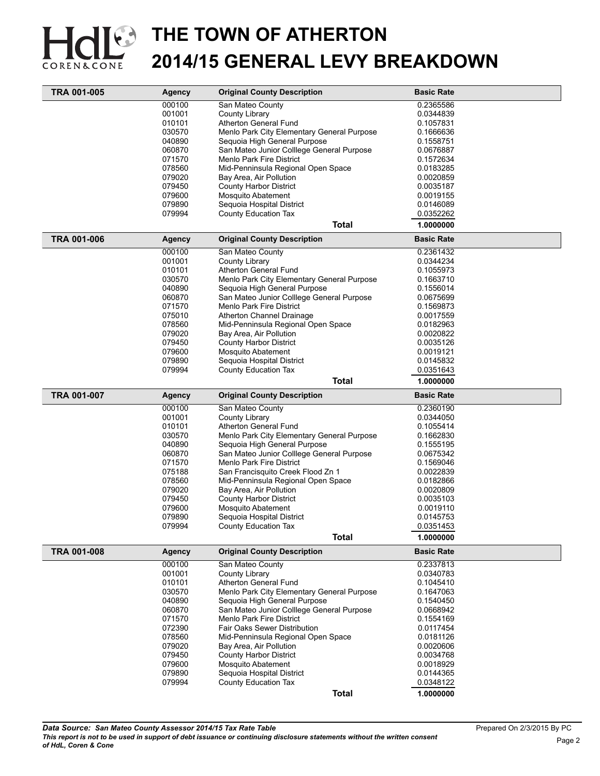

| TRA 001-005 | <b>Agency</b>    | <b>Original County Description</b>                | <b>Basic Rate</b> |  |
|-------------|------------------|---------------------------------------------------|-------------------|--|
|             | 000100           | San Mateo County                                  | 0.2365586         |  |
|             | 001001           | County Library                                    | 0.0344839         |  |
|             | 010101           | Atherton General Fund                             | 0.1057831         |  |
|             | 030570           | Menlo Park City Elementary General Purpose        | 0.1666636         |  |
|             | 040890           | Sequoia High General Purpose                      | 0.1558751         |  |
|             | 060870           | San Mateo Junior Colllege General Purpose         | 0.0676887         |  |
|             | 071570           | Menlo Park Fire District                          | 0.1572634         |  |
|             | 078560           | Mid-Penninsula Regional Open Space                | 0.0183285         |  |
|             | 079020           | Bay Area, Air Pollution                           | 0.0020859         |  |
|             | 079450           | <b>County Harbor District</b>                     | 0.0035187         |  |
|             | 079600           | <b>Mosquito Abatement</b>                         | 0.0019155         |  |
|             |                  |                                                   |                   |  |
|             | 079890<br>079994 | Sequoia Hospital District<br>County Education Tax | 0.0146089         |  |
|             |                  |                                                   | 0.0352262         |  |
|             |                  | <b>Total</b>                                      | 1.0000000         |  |
| TRA 001-006 | <b>Agency</b>    | <b>Original County Description</b>                | <b>Basic Rate</b> |  |
|             | 000100           | San Mateo County                                  | 0.2361432         |  |
|             | 001001           | County Library                                    | 0.0344234         |  |
|             | 010101           | Atherton General Fund                             | 0.1055973         |  |
|             | 030570           | Menlo Park City Elementary General Purpose        | 0.1663710         |  |
|             | 040890           | Sequoia High General Purpose                      | 0.1556014         |  |
|             | 060870           | San Mateo Junior Colllege General Purpose         | 0.0675699         |  |
|             | 071570           | Menlo Park Fire District                          | 0.1569873         |  |
|             | 075010           | Atherton Channel Drainage                         | 0.0017559         |  |
|             | 078560           | Mid-Penninsula Regional Open Space                | 0.0182963         |  |
|             | 079020           | Bay Area, Air Pollution                           | 0.0020822         |  |
|             | 079450           | <b>County Harbor District</b>                     | 0.0035126         |  |
|             | 079600           | <b>Mosquito Abatement</b>                         | 0.0019121         |  |
|             | 079890           | Sequoia Hospital District                         | 0.0145832         |  |
|             | 079994           | County Education Tax                              | 0.0351643         |  |
|             |                  |                                                   | 1.0000000         |  |
|             |                  | <b>Total</b>                                      |                   |  |
| TRA 001-007 | <b>Agency</b>    | <b>Original County Description</b>                | <b>Basic Rate</b> |  |
|             | 000100           | San Mateo County                                  | 0.2360190         |  |
|             | 001001           | County Library                                    | 0.0344050         |  |
|             | 010101           | <b>Atherton General Fund</b>                      | 0.1055414         |  |
|             | 030570           | Menlo Park City Elementary General Purpose        | 0.1662830         |  |
|             | 040890           | Sequoia High General Purpose                      | 0.1555195         |  |
|             | 060870           | San Mateo Junior Colllege General Purpose         | 0.0675342         |  |
|             | 071570           | Menlo Park Fire District                          | 0.1569046         |  |
|             | 075188           | San Francisquito Creek Flood Zn 1                 | 0.0022839         |  |
|             | 078560           | Mid-Penninsula Regional Open Space                | 0.0182866         |  |
|             | 079020           | Bay Area, Air Pollution                           | 0.0020809         |  |
|             | 079450           | <b>County Harbor District</b>                     | 0.0035103         |  |
|             | 079600           | Mosquito Abatement                                | 0.0019110         |  |
|             | 079890           | Sequoia Hospital District                         | 0.0145753         |  |
|             | 079994           | County Education Tax                              | 0.0351453         |  |
|             |                  | <b>Total</b>                                      | 1.0000000         |  |
| TRA 001-008 |                  | <b>Original County Description</b>                | <b>Basic Rate</b> |  |
|             | Agency<br>000100 | San Mateo County                                  | 0.2337813         |  |
|             | 001001           |                                                   |                   |  |
|             |                  | County Library                                    | 0.0340783         |  |
|             |                  |                                                   |                   |  |
|             | 010101           | Atherton General Fund                             | 0.1045410         |  |
|             | 030570           | Menlo Park City Elementary General Purpose        | 0.1647063         |  |
|             | 040890           | Sequoia High General Purpose                      | 0.1540450         |  |
|             | 060870           | San Mateo Junior Colllege General Purpose         | 0.0668942         |  |
|             | 071570           | Menlo Park Fire District                          | 0.1554169         |  |
|             | 072390           | Fair Oaks Sewer Distribution                      | 0.0117454         |  |
|             | 078560           | Mid-Penninsula Regional Open Space                | 0.0181126         |  |
|             | 079020           | Bay Area, Air Pollution                           | 0.0020606         |  |
|             | 079450           | <b>County Harbor District</b>                     | 0.0034768         |  |
|             | 079600           | Mosquito Abatement                                | 0.0018929         |  |
|             | 079890           | Sequoia Hospital District                         | 0.0144365         |  |
|             | 079994           | County Education Tax                              | 0.0348122         |  |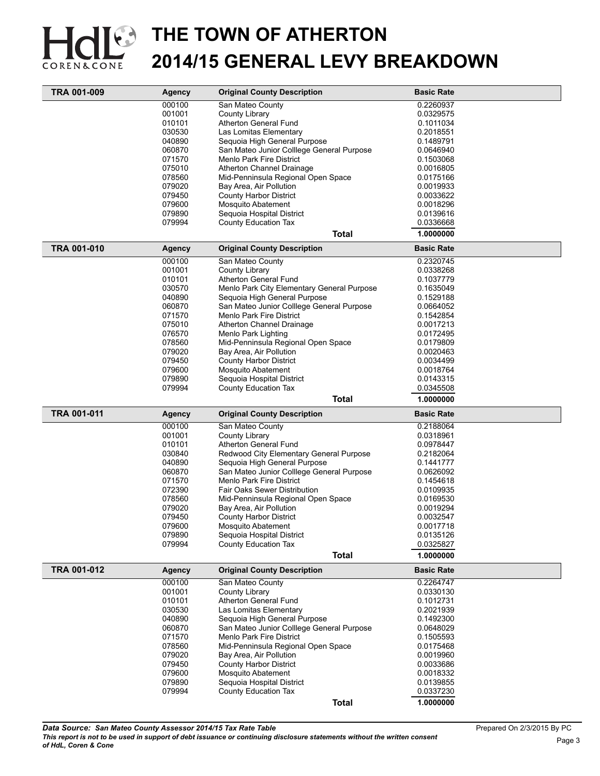

|             | <b>Agency</b> | <b>Original County Description</b>                                           | <b>Basic Rate</b> |
|-------------|---------------|------------------------------------------------------------------------------|-------------------|
|             | 000100        | San Mateo County                                                             | 0.2260937         |
|             | 001001        | County Library                                                               | 0.0329575         |
|             | 010101        | Atherton General Fund                                                        | 0.1011034         |
|             | 030530        | Las Lomitas Elementary                                                       | 0.2018551         |
|             | 040890        | Sequoia High General Purpose                                                 | 0.1489791         |
|             | 060870        | San Mateo Junior Colllege General Purpose                                    | 0.0646940         |
|             | 071570        | Menlo Park Fire District                                                     | 0.1503068         |
|             | 075010        | Atherton Channel Drainage                                                    | 0.0016805         |
|             | 078560        | Mid-Penninsula Regional Open Space                                           | 0.0175166         |
|             | 079020        | Bay Area, Air Pollution                                                      | 0.0019933         |
|             | 079450        | <b>County Harbor District</b>                                                | 0.0033622         |
|             | 079600        |                                                                              | 0.0018296         |
|             | 079890        | Mosquito Abatement<br>Sequoia Hospital District                              |                   |
|             |               |                                                                              | 0.0139616         |
|             | 079994        | County Education Tax                                                         | 0.0336668         |
|             |               | <b>Total</b>                                                                 | 1.0000000         |
| TRA 001-010 | <b>Agency</b> | <b>Original County Description</b>                                           | <b>Basic Rate</b> |
|             | 000100        | San Mateo County                                                             | 0.2320745         |
|             | 001001        | County Library                                                               | 0.0338268         |
|             | 010101        | Atherton General Fund                                                        | 0.1037779         |
|             | 030570        | Menlo Park City Elementary General Purpose                                   | 0.1635049         |
|             | 040890        | Sequoia High General Purpose                                                 | 0.1529188         |
|             | 060870        | San Mateo Junior Colllege General Purpose                                    | 0.0664052         |
|             | 071570        | Menlo Park Fire District                                                     | 0.1542854         |
|             | 075010        | Atherton Channel Drainage                                                    | 0.0017213         |
|             | 076570        | Menlo Park Lighting                                                          | 0.0172495         |
|             | 078560        | Mid-Penninsula Regional Open Space                                           | 0.0179809         |
|             | 079020        | Bay Area, Air Pollution                                                      | 0.0020463         |
|             |               |                                                                              |                   |
|             | 079450        | <b>County Harbor District</b>                                                | 0.0034499         |
|             | 079600        | Mosquito Abatement                                                           | 0.0018764         |
|             | 079890        | Sequoia Hospital District                                                    | 0.0143315         |
|             | 079994        | County Education Tax                                                         | 0.0345508         |
|             |               | Total                                                                        | 1.0000000         |
| TRA 001-011 | <b>Agency</b> | <b>Original County Description</b>                                           | <b>Basic Rate</b> |
|             | 000100        | San Mateo County                                                             | 0.2188064         |
|             | 001001        | County Library                                                               | 0.0318961         |
|             | 010101        | Atherton General Fund                                                        | 0.0978447         |
|             |               | Redwood City Elementary General Purpose                                      |                   |
|             | 030840        |                                                                              | 0.2182064         |
|             | 040890        |                                                                              | 0.1441777         |
|             | 060870        | Sequoia High General Purpose                                                 | 0.0626092         |
|             |               | San Mateo Junior Colllege General Purpose<br><b>Menlo Park Fire District</b> |                   |
|             | 071570        |                                                                              | 0.1454618         |
|             | 072390        | Fair Oaks Sewer Distribution                                                 | 0.0109935         |
|             | 078560        | Mid-Penninsula Regional Open Space                                           | 0.0169530         |
|             | 079020        | Bay Area, Air Pollution                                                      | 0.0019294         |
|             | 079450        | <b>County Harbor District</b>                                                | 0.0032547         |
|             | 079600        | Mosquito Abatement                                                           | 0.001/118         |
|             | 079890        | Sequoia Hospital District                                                    | 0.0135126         |
|             | 079994        | <b>County Education Tax</b>                                                  | 0.0325827         |
|             |               | <b>Total</b>                                                                 | 1.0000000         |
| TRA 001-012 | <b>Agency</b> | <b>Original County Description</b>                                           | <b>Basic Rate</b> |
|             | 000100        | San Mateo County                                                             | 0.2264747         |
|             | 001001        | County Library                                                               | 0.0330130         |
|             | 010101        | Atherton General Fund                                                        | 0.1012731         |
|             | 030530        | Las Lomitas Elementary                                                       | 0.2021939         |
|             | 040890        | Sequoia High General Purpose                                                 | 0.1492300         |
|             | 060870        | San Mateo Junior Colllege General Purpose                                    | 0.0648029         |
|             | 071570        | Menlo Park Fire District                                                     | 0.1505593         |
|             | 078560        | Mid-Penninsula Regional Open Space                                           | 0.0175468         |
|             | 079020        | Bay Area, Air Pollution                                                      | 0.0019960         |
|             | 079450        | <b>County Harbor District</b>                                                | 0.0033686         |
|             | 079600        | Mosquito Abatement                                                           | 0.0018332         |
|             | 079890        | Sequoia Hospital District                                                    | 0.0139855         |
|             | 079994        | County Education Tax                                                         | 0.0337230         |
|             |               | <b>Total</b>                                                                 | 1.0000000         |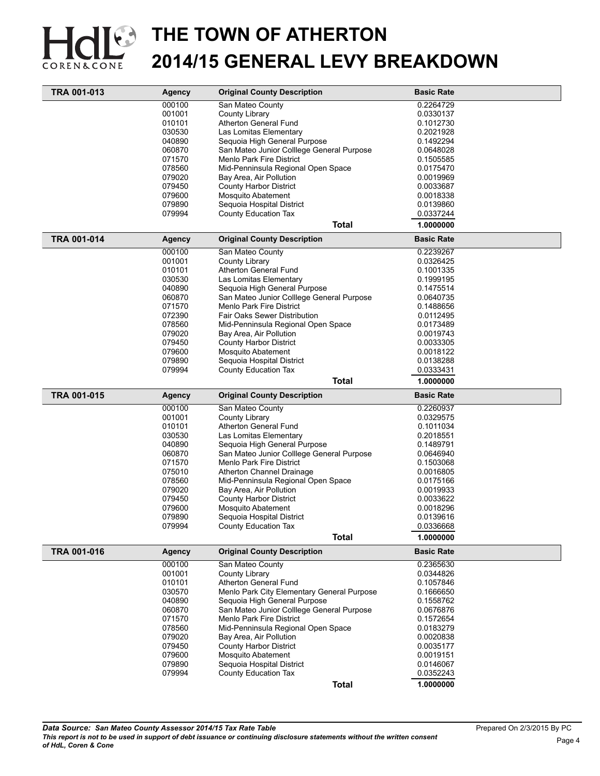

| TRA 001-013        | <b>Agency</b> | <b>Original County Description</b>         | <b>Basic Rate</b> |  |
|--------------------|---------------|--------------------------------------------|-------------------|--|
|                    | 000100        | San Mateo County                           | 0.2264729         |  |
|                    | 001001        | County Library                             | 0.0330137         |  |
|                    | 010101        | Atherton General Fund                      | 0.1012730         |  |
|                    | 030530        | Las Lomitas Elementary                     | 0.2021928         |  |
|                    | 040890        | Sequoia High General Purpose               | 0.1492294         |  |
|                    | 060870        | San Mateo Junior Colllege General Purpose  | 0.0648028         |  |
|                    | 071570        | Menlo Park Fire District                   | 0.1505585         |  |
|                    | 078560        | Mid-Penninsula Regional Open Space         | 0.0175470         |  |
|                    | 079020        | Bay Area, Air Pollution                    | 0.0019969         |  |
|                    | 079450        | <b>County Harbor District</b>              | 0.0033687         |  |
|                    | 079600        | <b>Mosquito Abatement</b>                  | 0.0018338         |  |
|                    | 079890        | Sequoia Hospital District                  | 0.0139860         |  |
|                    | 079994        | County Education Tax                       | 0.0337244         |  |
|                    |               | <b>Total</b>                               | 1.0000000         |  |
| <b>TRA 001-014</b> | <b>Agency</b> | <b>Original County Description</b>         | <b>Basic Rate</b> |  |
|                    | 000100        | San Mateo County                           | 0.2239267         |  |
|                    | 001001        | County Library                             | 0.0326425         |  |
|                    | 010101        | Atherton General Fund                      | 0.1001335         |  |
|                    | 030530        | Las Lomitas Elementary                     | 0.1999195         |  |
|                    | 040890        | Sequoia High General Purpose               | 0.1475514         |  |
|                    | 060870        | San Mateo Junior Colllege General Purpose  | 0.0640735         |  |
|                    | 071570        | <b>Menlo Park Fire District</b>            | 0.1488656         |  |
|                    | 072390        | Fair Oaks Sewer Distribution               | 0.0112495         |  |
|                    | 078560        | Mid-Penninsula Regional Open Space         | 0.0173489         |  |
|                    | 079020        | Bay Area, Air Pollution                    | 0.0019743         |  |
|                    | 079450        | <b>County Harbor District</b>              | 0.0033305         |  |
|                    | 079600        | <b>Mosquito Abatement</b>                  | 0.0018122         |  |
|                    | 079890        | Sequoia Hospital District                  | 0.0138288         |  |
|                    | 079994        | County Education Tax                       | 0.0333431         |  |
|                    |               | <b>Total</b>                               | 1.0000000         |  |
|                    |               |                                            |                   |  |
|                    |               |                                            |                   |  |
| TRA 001-015        | <b>Agency</b> | <b>Original County Description</b>         | <b>Basic Rate</b> |  |
|                    | 000100        | San Mateo County                           | 0.2260937         |  |
|                    | 001001        | County Library                             | 0.0329575         |  |
|                    | 010101        | Atherton General Fund                      | 0.1011034         |  |
|                    | 030530        | Las Lomitas Elementary                     | 0.2018551         |  |
|                    | 040890        | Sequoia High General Purpose               | 0.1489791         |  |
|                    | 060870        | San Mateo Junior Colllege General Purpose  | 0.0646940         |  |
|                    | 071570        | <b>Menlo Park Fire District</b>            | 0.1503068         |  |
|                    | 075010        | Atherton Channel Drainage                  | 0.0016805         |  |
|                    | 078560        | Mid-Penninsula Regional Open Space         | 0.0175166         |  |
|                    | 079020        | Bay Area, Air Pollution                    | 0.0019933         |  |
|                    | 079450        | <b>County Harbor District</b>              | 0.0033622         |  |
|                    | 079600        | Mosquito Abatement                         | 0.0018296         |  |
|                    | 079890        | Sequoia Hospital District                  | 0.0139616         |  |
|                    | 079994        | County Education Tax                       | 0.0336668         |  |
|                    |               | <b>Total</b>                               | 1.0000000         |  |
| TRA 001-016        | Agency        | <b>Original County Description</b>         | <b>Basic Rate</b> |  |
|                    | 000100        | San Mateo County                           | 0.2365630         |  |
|                    | 001001        | County Library                             | 0.0344826         |  |
|                    | 010101        | Atherton General Fund                      | 0.1057846         |  |
|                    | 030570        | Menlo Park City Elementary General Purpose | 0.1666650         |  |
|                    | 040890        | Sequoia High General Purpose               | 0.1558762         |  |
|                    | 060870        | San Mateo Junior Colllege General Purpose  | 0.0676876         |  |
|                    | 071570        | <b>Menlo Park Fire District</b>            | 0.1572654         |  |
|                    | 078560        | Mid-Penninsula Regional Open Space         | 0.0183279         |  |
|                    | 079020        | Bay Area, Air Pollution                    | 0.0020838         |  |
|                    | 079450        | <b>County Harbor District</b>              | 0.0035177         |  |
|                    | 079600        | <b>Mosquito Abatement</b>                  | 0.0019151         |  |
|                    | 079890        | Sequoia Hospital District                  | 0.0146067         |  |
|                    | 079994        | County Education Tax                       | 0.0352243         |  |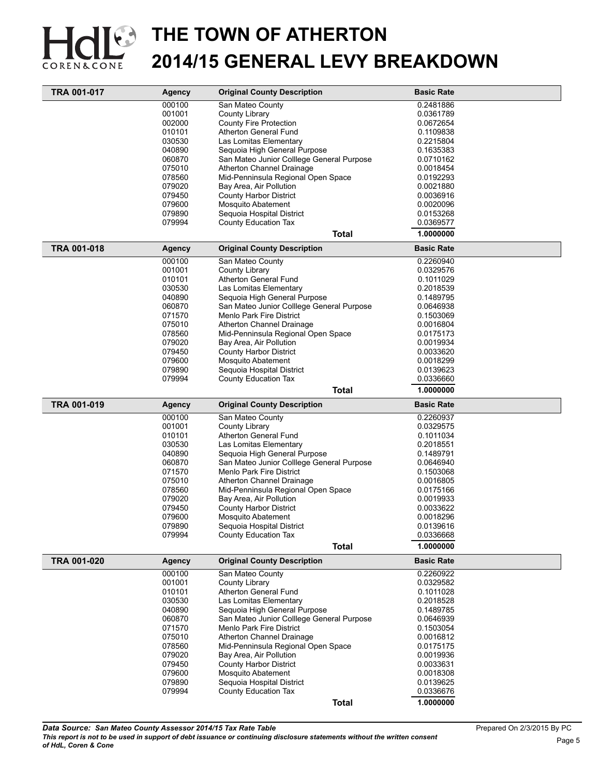

| 000100<br>San Mateo County<br>0.2481886<br>001001<br>County Library<br>0.0361789<br>002000<br>County Fire Protection<br>0.0672654<br><b>Atherton General Fund</b><br>010101<br>0.1109838<br>030530<br>Las Lomitas Elementary<br>0.2215804<br>040890<br>Sequoia High General Purpose<br>0.1635383<br>060870<br>San Mateo Junior Colllege General Purpose<br>0.0710162<br>075010<br>Atherton Channel Drainage<br>0.0018454<br>078560<br>Mid-Penninsula Regional Open Space<br>0.0192293<br>079020<br>Bay Area, Air Pollution<br>0.0021880<br><b>County Harbor District</b><br>079450<br>0.0036916<br>079600<br><b>Mosquito Abatement</b><br>0.0020096<br>079890<br>Sequoia Hospital District<br>0.0153268<br>079994<br>County Education Tax<br>0.0369577<br>1.0000000<br>Total<br><b>TRA 001-018</b><br><b>Original County Description</b><br><b>Basic Rate</b><br><b>Agency</b><br>000100<br>San Mateo County<br>0.2260940<br>001001<br>County Library<br>0.0329576<br><b>Atherton General Fund</b><br>010101<br>0.1011029<br>030530<br>Las Lomitas Elementary<br>0.2018539<br>040890<br>Sequoia High General Purpose<br>0.1489795<br>060870<br>San Mateo Junior Colllege General Purpose<br>0.0646938<br>071570<br>Menlo Park Fire District<br>0.1503069<br>075010<br><b>Atherton Channel Drainage</b><br>0.0016804<br>078560<br>Mid-Penninsula Regional Open Space<br>0.0175173<br>079020<br>Bay Area, Air Pollution<br>0.0019934<br>079450<br><b>County Harbor District</b><br>0.0033620<br>079600<br><b>Mosquito Abatement</b><br>0.0018299<br>079890<br>Sequoia Hospital District<br>0.0139623<br>079994<br>County Education Tax<br>0.0336660<br><b>Total</b><br>1.0000000 |
|--------------------------------------------------------------------------------------------------------------------------------------------------------------------------------------------------------------------------------------------------------------------------------------------------------------------------------------------------------------------------------------------------------------------------------------------------------------------------------------------------------------------------------------------------------------------------------------------------------------------------------------------------------------------------------------------------------------------------------------------------------------------------------------------------------------------------------------------------------------------------------------------------------------------------------------------------------------------------------------------------------------------------------------------------------------------------------------------------------------------------------------------------------------------------------------------------------------------------------------------------------------------------------------------------------------------------------------------------------------------------------------------------------------------------------------------------------------------------------------------------------------------------------------------------------------------------------------------------------------------------------------------------------------------------------|
|                                                                                                                                                                                                                                                                                                                                                                                                                                                                                                                                                                                                                                                                                                                                                                                                                                                                                                                                                                                                                                                                                                                                                                                                                                                                                                                                                                                                                                                                                                                                                                                                                                                                                |
|                                                                                                                                                                                                                                                                                                                                                                                                                                                                                                                                                                                                                                                                                                                                                                                                                                                                                                                                                                                                                                                                                                                                                                                                                                                                                                                                                                                                                                                                                                                                                                                                                                                                                |
|                                                                                                                                                                                                                                                                                                                                                                                                                                                                                                                                                                                                                                                                                                                                                                                                                                                                                                                                                                                                                                                                                                                                                                                                                                                                                                                                                                                                                                                                                                                                                                                                                                                                                |
|                                                                                                                                                                                                                                                                                                                                                                                                                                                                                                                                                                                                                                                                                                                                                                                                                                                                                                                                                                                                                                                                                                                                                                                                                                                                                                                                                                                                                                                                                                                                                                                                                                                                                |
|                                                                                                                                                                                                                                                                                                                                                                                                                                                                                                                                                                                                                                                                                                                                                                                                                                                                                                                                                                                                                                                                                                                                                                                                                                                                                                                                                                                                                                                                                                                                                                                                                                                                                |
|                                                                                                                                                                                                                                                                                                                                                                                                                                                                                                                                                                                                                                                                                                                                                                                                                                                                                                                                                                                                                                                                                                                                                                                                                                                                                                                                                                                                                                                                                                                                                                                                                                                                                |
|                                                                                                                                                                                                                                                                                                                                                                                                                                                                                                                                                                                                                                                                                                                                                                                                                                                                                                                                                                                                                                                                                                                                                                                                                                                                                                                                                                                                                                                                                                                                                                                                                                                                                |
|                                                                                                                                                                                                                                                                                                                                                                                                                                                                                                                                                                                                                                                                                                                                                                                                                                                                                                                                                                                                                                                                                                                                                                                                                                                                                                                                                                                                                                                                                                                                                                                                                                                                                |
|                                                                                                                                                                                                                                                                                                                                                                                                                                                                                                                                                                                                                                                                                                                                                                                                                                                                                                                                                                                                                                                                                                                                                                                                                                                                                                                                                                                                                                                                                                                                                                                                                                                                                |
|                                                                                                                                                                                                                                                                                                                                                                                                                                                                                                                                                                                                                                                                                                                                                                                                                                                                                                                                                                                                                                                                                                                                                                                                                                                                                                                                                                                                                                                                                                                                                                                                                                                                                |
|                                                                                                                                                                                                                                                                                                                                                                                                                                                                                                                                                                                                                                                                                                                                                                                                                                                                                                                                                                                                                                                                                                                                                                                                                                                                                                                                                                                                                                                                                                                                                                                                                                                                                |
|                                                                                                                                                                                                                                                                                                                                                                                                                                                                                                                                                                                                                                                                                                                                                                                                                                                                                                                                                                                                                                                                                                                                                                                                                                                                                                                                                                                                                                                                                                                                                                                                                                                                                |
|                                                                                                                                                                                                                                                                                                                                                                                                                                                                                                                                                                                                                                                                                                                                                                                                                                                                                                                                                                                                                                                                                                                                                                                                                                                                                                                                                                                                                                                                                                                                                                                                                                                                                |
|                                                                                                                                                                                                                                                                                                                                                                                                                                                                                                                                                                                                                                                                                                                                                                                                                                                                                                                                                                                                                                                                                                                                                                                                                                                                                                                                                                                                                                                                                                                                                                                                                                                                                |
|                                                                                                                                                                                                                                                                                                                                                                                                                                                                                                                                                                                                                                                                                                                                                                                                                                                                                                                                                                                                                                                                                                                                                                                                                                                                                                                                                                                                                                                                                                                                                                                                                                                                                |
|                                                                                                                                                                                                                                                                                                                                                                                                                                                                                                                                                                                                                                                                                                                                                                                                                                                                                                                                                                                                                                                                                                                                                                                                                                                                                                                                                                                                                                                                                                                                                                                                                                                                                |
|                                                                                                                                                                                                                                                                                                                                                                                                                                                                                                                                                                                                                                                                                                                                                                                                                                                                                                                                                                                                                                                                                                                                                                                                                                                                                                                                                                                                                                                                                                                                                                                                                                                                                |
|                                                                                                                                                                                                                                                                                                                                                                                                                                                                                                                                                                                                                                                                                                                                                                                                                                                                                                                                                                                                                                                                                                                                                                                                                                                                                                                                                                                                                                                                                                                                                                                                                                                                                |
|                                                                                                                                                                                                                                                                                                                                                                                                                                                                                                                                                                                                                                                                                                                                                                                                                                                                                                                                                                                                                                                                                                                                                                                                                                                                                                                                                                                                                                                                                                                                                                                                                                                                                |
|                                                                                                                                                                                                                                                                                                                                                                                                                                                                                                                                                                                                                                                                                                                                                                                                                                                                                                                                                                                                                                                                                                                                                                                                                                                                                                                                                                                                                                                                                                                                                                                                                                                                                |
|                                                                                                                                                                                                                                                                                                                                                                                                                                                                                                                                                                                                                                                                                                                                                                                                                                                                                                                                                                                                                                                                                                                                                                                                                                                                                                                                                                                                                                                                                                                                                                                                                                                                                |
|                                                                                                                                                                                                                                                                                                                                                                                                                                                                                                                                                                                                                                                                                                                                                                                                                                                                                                                                                                                                                                                                                                                                                                                                                                                                                                                                                                                                                                                                                                                                                                                                                                                                                |
|                                                                                                                                                                                                                                                                                                                                                                                                                                                                                                                                                                                                                                                                                                                                                                                                                                                                                                                                                                                                                                                                                                                                                                                                                                                                                                                                                                                                                                                                                                                                                                                                                                                                                |
|                                                                                                                                                                                                                                                                                                                                                                                                                                                                                                                                                                                                                                                                                                                                                                                                                                                                                                                                                                                                                                                                                                                                                                                                                                                                                                                                                                                                                                                                                                                                                                                                                                                                                |
|                                                                                                                                                                                                                                                                                                                                                                                                                                                                                                                                                                                                                                                                                                                                                                                                                                                                                                                                                                                                                                                                                                                                                                                                                                                                                                                                                                                                                                                                                                                                                                                                                                                                                |
|                                                                                                                                                                                                                                                                                                                                                                                                                                                                                                                                                                                                                                                                                                                                                                                                                                                                                                                                                                                                                                                                                                                                                                                                                                                                                                                                                                                                                                                                                                                                                                                                                                                                                |
|                                                                                                                                                                                                                                                                                                                                                                                                                                                                                                                                                                                                                                                                                                                                                                                                                                                                                                                                                                                                                                                                                                                                                                                                                                                                                                                                                                                                                                                                                                                                                                                                                                                                                |
|                                                                                                                                                                                                                                                                                                                                                                                                                                                                                                                                                                                                                                                                                                                                                                                                                                                                                                                                                                                                                                                                                                                                                                                                                                                                                                                                                                                                                                                                                                                                                                                                                                                                                |
|                                                                                                                                                                                                                                                                                                                                                                                                                                                                                                                                                                                                                                                                                                                                                                                                                                                                                                                                                                                                                                                                                                                                                                                                                                                                                                                                                                                                                                                                                                                                                                                                                                                                                |
|                                                                                                                                                                                                                                                                                                                                                                                                                                                                                                                                                                                                                                                                                                                                                                                                                                                                                                                                                                                                                                                                                                                                                                                                                                                                                                                                                                                                                                                                                                                                                                                                                                                                                |
|                                                                                                                                                                                                                                                                                                                                                                                                                                                                                                                                                                                                                                                                                                                                                                                                                                                                                                                                                                                                                                                                                                                                                                                                                                                                                                                                                                                                                                                                                                                                                                                                                                                                                |
|                                                                                                                                                                                                                                                                                                                                                                                                                                                                                                                                                                                                                                                                                                                                                                                                                                                                                                                                                                                                                                                                                                                                                                                                                                                                                                                                                                                                                                                                                                                                                                                                                                                                                |
| TRA 001-019<br><b>Original County Description</b><br><b>Basic Rate</b><br><b>Agency</b>                                                                                                                                                                                                                                                                                                                                                                                                                                                                                                                                                                                                                                                                                                                                                                                                                                                                                                                                                                                                                                                                                                                                                                                                                                                                                                                                                                                                                                                                                                                                                                                        |
| 000100<br>San Mateo County<br>0.2260937                                                                                                                                                                                                                                                                                                                                                                                                                                                                                                                                                                                                                                                                                                                                                                                                                                                                                                                                                                                                                                                                                                                                                                                                                                                                                                                                                                                                                                                                                                                                                                                                                                        |
| 001001<br>County Library<br>0.0329575                                                                                                                                                                                                                                                                                                                                                                                                                                                                                                                                                                                                                                                                                                                                                                                                                                                                                                                                                                                                                                                                                                                                                                                                                                                                                                                                                                                                                                                                                                                                                                                                                                          |
| Atherton General Fund<br>010101<br>0.1011034                                                                                                                                                                                                                                                                                                                                                                                                                                                                                                                                                                                                                                                                                                                                                                                                                                                                                                                                                                                                                                                                                                                                                                                                                                                                                                                                                                                                                                                                                                                                                                                                                                   |
| 030530<br>Las Lomitas Elementary<br>0.2018551                                                                                                                                                                                                                                                                                                                                                                                                                                                                                                                                                                                                                                                                                                                                                                                                                                                                                                                                                                                                                                                                                                                                                                                                                                                                                                                                                                                                                                                                                                                                                                                                                                  |
| 040890<br>Sequoia High General Purpose<br>0.1489791                                                                                                                                                                                                                                                                                                                                                                                                                                                                                                                                                                                                                                                                                                                                                                                                                                                                                                                                                                                                                                                                                                                                                                                                                                                                                                                                                                                                                                                                                                                                                                                                                            |
| 060870<br>San Mateo Junior Colllege General Purpose<br>0.0646940                                                                                                                                                                                                                                                                                                                                                                                                                                                                                                                                                                                                                                                                                                                                                                                                                                                                                                                                                                                                                                                                                                                                                                                                                                                                                                                                                                                                                                                                                                                                                                                                               |
| 071570<br>Menlo Park Fire District<br>0.1503068                                                                                                                                                                                                                                                                                                                                                                                                                                                                                                                                                                                                                                                                                                                                                                                                                                                                                                                                                                                                                                                                                                                                                                                                                                                                                                                                                                                                                                                                                                                                                                                                                                |
| 075010<br>Atherton Channel Drainage<br>0.0016805                                                                                                                                                                                                                                                                                                                                                                                                                                                                                                                                                                                                                                                                                                                                                                                                                                                                                                                                                                                                                                                                                                                                                                                                                                                                                                                                                                                                                                                                                                                                                                                                                               |
| 078560                                                                                                                                                                                                                                                                                                                                                                                                                                                                                                                                                                                                                                                                                                                                                                                                                                                                                                                                                                                                                                                                                                                                                                                                                                                                                                                                                                                                                                                                                                                                                                                                                                                                         |
| Mid-Penninsula Regional Open Space<br>0.0175166                                                                                                                                                                                                                                                                                                                                                                                                                                                                                                                                                                                                                                                                                                                                                                                                                                                                                                                                                                                                                                                                                                                                                                                                                                                                                                                                                                                                                                                                                                                                                                                                                                |
| 079020<br>Bay Area, Air Pollution<br>0.0019933                                                                                                                                                                                                                                                                                                                                                                                                                                                                                                                                                                                                                                                                                                                                                                                                                                                                                                                                                                                                                                                                                                                                                                                                                                                                                                                                                                                                                                                                                                                                                                                                                                 |
| 079450<br><b>County Harbor District</b><br>0.0033622                                                                                                                                                                                                                                                                                                                                                                                                                                                                                                                                                                                                                                                                                                                                                                                                                                                                                                                                                                                                                                                                                                                                                                                                                                                                                                                                                                                                                                                                                                                                                                                                                           |
| 079600<br><b>Mosquito Abatement</b><br>0.0018296                                                                                                                                                                                                                                                                                                                                                                                                                                                                                                                                                                                                                                                                                                                                                                                                                                                                                                                                                                                                                                                                                                                                                                                                                                                                                                                                                                                                                                                                                                                                                                                                                               |
| 079890<br>Sequoia Hospital District<br>0.0139616                                                                                                                                                                                                                                                                                                                                                                                                                                                                                                                                                                                                                                                                                                                                                                                                                                                                                                                                                                                                                                                                                                                                                                                                                                                                                                                                                                                                                                                                                                                                                                                                                               |
| 079994<br>County Education Tax<br>0.0336668                                                                                                                                                                                                                                                                                                                                                                                                                                                                                                                                                                                                                                                                                                                                                                                                                                                                                                                                                                                                                                                                                                                                                                                                                                                                                                                                                                                                                                                                                                                                                                                                                                    |
| <b>Total</b><br>1.0000000                                                                                                                                                                                                                                                                                                                                                                                                                                                                                                                                                                                                                                                                                                                                                                                                                                                                                                                                                                                                                                                                                                                                                                                                                                                                                                                                                                                                                                                                                                                                                                                                                                                      |
|                                                                                                                                                                                                                                                                                                                                                                                                                                                                                                                                                                                                                                                                                                                                                                                                                                                                                                                                                                                                                                                                                                                                                                                                                                                                                                                                                                                                                                                                                                                                                                                                                                                                                |
| TRA 001-020<br><b>Original County Description</b><br><b>Basic Rate</b><br><b>Agency</b>                                                                                                                                                                                                                                                                                                                                                                                                                                                                                                                                                                                                                                                                                                                                                                                                                                                                                                                                                                                                                                                                                                                                                                                                                                                                                                                                                                                                                                                                                                                                                                                        |
| 000100<br>San Mateo County<br>0.2260922                                                                                                                                                                                                                                                                                                                                                                                                                                                                                                                                                                                                                                                                                                                                                                                                                                                                                                                                                                                                                                                                                                                                                                                                                                                                                                                                                                                                                                                                                                                                                                                                                                        |
| 001001<br>0.0329582<br>County Library                                                                                                                                                                                                                                                                                                                                                                                                                                                                                                                                                                                                                                                                                                                                                                                                                                                                                                                                                                                                                                                                                                                                                                                                                                                                                                                                                                                                                                                                                                                                                                                                                                          |
| 010101<br>Atherton General Fund<br>0.1011028                                                                                                                                                                                                                                                                                                                                                                                                                                                                                                                                                                                                                                                                                                                                                                                                                                                                                                                                                                                                                                                                                                                                                                                                                                                                                                                                                                                                                                                                                                                                                                                                                                   |
| 030530<br>Las Lomitas Elementary<br>0.2018528                                                                                                                                                                                                                                                                                                                                                                                                                                                                                                                                                                                                                                                                                                                                                                                                                                                                                                                                                                                                                                                                                                                                                                                                                                                                                                                                                                                                                                                                                                                                                                                                                                  |
| 040890<br>Sequoia High General Purpose<br>0.1489785                                                                                                                                                                                                                                                                                                                                                                                                                                                                                                                                                                                                                                                                                                                                                                                                                                                                                                                                                                                                                                                                                                                                                                                                                                                                                                                                                                                                                                                                                                                                                                                                                            |
| 060870<br>San Mateo Junior Colllege General Purpose<br>0.0646939                                                                                                                                                                                                                                                                                                                                                                                                                                                                                                                                                                                                                                                                                                                                                                                                                                                                                                                                                                                                                                                                                                                                                                                                                                                                                                                                                                                                                                                                                                                                                                                                               |
| 071570<br><b>Menlo Park Fire District</b><br>0.1503054                                                                                                                                                                                                                                                                                                                                                                                                                                                                                                                                                                                                                                                                                                                                                                                                                                                                                                                                                                                                                                                                                                                                                                                                                                                                                                                                                                                                                                                                                                                                                                                                                         |
| 075010<br>Atherton Channel Drainage<br>0.0016812                                                                                                                                                                                                                                                                                                                                                                                                                                                                                                                                                                                                                                                                                                                                                                                                                                                                                                                                                                                                                                                                                                                                                                                                                                                                                                                                                                                                                                                                                                                                                                                                                               |
| 078560<br>Mid-Penninsula Regional Open Space<br>0.0175175                                                                                                                                                                                                                                                                                                                                                                                                                                                                                                                                                                                                                                                                                                                                                                                                                                                                                                                                                                                                                                                                                                                                                                                                                                                                                                                                                                                                                                                                                                                                                                                                                      |
| 079020<br>Bay Area, Air Pollution<br>0.0019936                                                                                                                                                                                                                                                                                                                                                                                                                                                                                                                                                                                                                                                                                                                                                                                                                                                                                                                                                                                                                                                                                                                                                                                                                                                                                                                                                                                                                                                                                                                                                                                                                                 |
| 079450<br><b>County Harbor District</b><br>0.0033631                                                                                                                                                                                                                                                                                                                                                                                                                                                                                                                                                                                                                                                                                                                                                                                                                                                                                                                                                                                                                                                                                                                                                                                                                                                                                                                                                                                                                                                                                                                                                                                                                           |
| 079600<br>Mosquito Abatement<br>0.0018308                                                                                                                                                                                                                                                                                                                                                                                                                                                                                                                                                                                                                                                                                                                                                                                                                                                                                                                                                                                                                                                                                                                                                                                                                                                                                                                                                                                                                                                                                                                                                                                                                                      |
| 079890<br>0.0139625                                                                                                                                                                                                                                                                                                                                                                                                                                                                                                                                                                                                                                                                                                                                                                                                                                                                                                                                                                                                                                                                                                                                                                                                                                                                                                                                                                                                                                                                                                                                                                                                                                                            |
| Sequoia Hospital District<br>079994<br>County Education Tax<br>0.0336676                                                                                                                                                                                                                                                                                                                                                                                                                                                                                                                                                                                                                                                                                                                                                                                                                                                                                                                                                                                                                                                                                                                                                                                                                                                                                                                                                                                                                                                                                                                                                                                                       |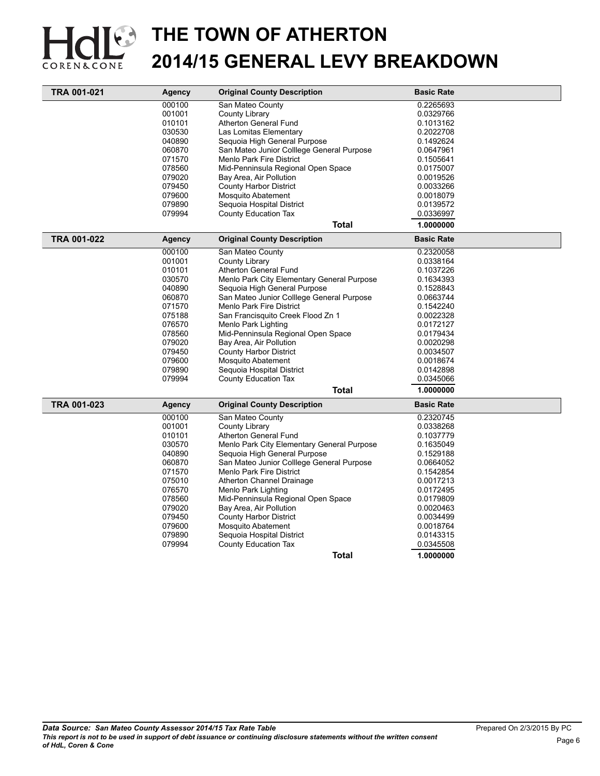

| <b>TRA 001-021</b> | <b>Agency</b> | <b>Original County Description</b>         | <b>Basic Rate</b> |
|--------------------|---------------|--------------------------------------------|-------------------|
|                    | 000100        | San Mateo County                           | 0.2265693         |
|                    | 001001        | County Library                             | 0.0329766         |
|                    | 010101        | Atherton General Fund                      | 0.1013162         |
|                    | 030530        | Las Lomitas Elementary                     | 0.2022708         |
|                    | 040890        | Sequoia High General Purpose               | 0.1492624         |
|                    | 060870        | San Mateo Junior Colllege General Purpose  | 0.0647961         |
|                    | 071570        | <b>Menlo Park Fire District</b>            | 0.1505641         |
|                    | 078560        | Mid-Penninsula Regional Open Space         | 0.0175007         |
|                    | 079020        | Bay Area, Air Pollution                    | 0.0019526         |
|                    | 079450        | <b>County Harbor District</b>              | 0.0033266         |
|                    | 079600        | <b>Mosquito Abatement</b>                  | 0.0018079         |
|                    | 079890        | Sequoia Hospital District                  | 0.0139572         |
|                    | 079994        | <b>County Education Tax</b>                | 0.0336997         |
|                    |               | <b>Total</b>                               | 1.0000000         |
| <b>TRA 001-022</b> | <b>Agency</b> | <b>Original County Description</b>         | <b>Basic Rate</b> |
|                    | 000100        | San Mateo County                           | 0.2320058         |
|                    | 001001        | County Library                             | 0.0338164         |
|                    | 010101        | Atherton General Fund                      | 0.1037226         |
|                    | 030570        | Menlo Park City Elementary General Purpose | 0.1634393         |
|                    | 040890        | Seguoia High General Purpose               | 0.1528843         |
|                    | 060870        | San Mateo Junior Colllege General Purpose  | 0.0663744         |
|                    | 071570        | <b>Menlo Park Fire District</b>            | 0.1542240         |
|                    | 075188        | San Francisquito Creek Flood Zn 1          | 0.0022328         |
|                    | 076570        | Menlo Park Lighting                        | 0.0172127         |
|                    | 078560        | Mid-Penninsula Regional Open Space         | 0.0179434         |
|                    | 079020        | Bay Area, Air Pollution                    | 0.0020298         |
|                    | 079450        | <b>County Harbor District</b>              | 0.0034507         |
|                    | 079600        | <b>Mosquito Abatement</b>                  | 0.0018674         |
|                    | 079890        | Sequoia Hospital District                  | 0.0142898         |
|                    | 079994        | County Education Tax                       | 0.0345066         |
|                    |               | <b>Total</b>                               | 1.0000000         |
| TRA 001-023        | <b>Agency</b> | <b>Original County Description</b>         | <b>Basic Rate</b> |
|                    | 000100        | San Mateo County                           | 0.2320745         |
|                    | 001001        | County Library                             | 0.0338268         |
|                    | 010101        | Atherton General Fund                      | 0.1037779         |
|                    | 030570        | Menlo Park City Elementary General Purpose | 0.1635049         |
|                    | 040890        | Sequoia High General Purpose               | 0.1529188         |
|                    | 060870        | San Mateo Junior Colllege General Purpose  | 0.0664052         |
|                    | 071570        | Menlo Park Fire District                   | 0.1542854         |
|                    | 075010        | Atherton Channel Drainage                  | 0.0017213         |
|                    | 076570        | Menlo Park Lighting                        | 0.0172495         |
|                    | 078560        | Mid-Penninsula Regional Open Space         | 0.0179809         |
|                    | 079020        | Bay Area, Air Pollution                    | 0.0020463         |
|                    | 079450        | <b>County Harbor District</b>              | 0.0034499         |
|                    | 079600        | Mosquito Abatement                         | 0.0018764         |
|                    | 079890        | Sequoia Hospital District                  | 0.0143315         |
|                    | 079994        | <b>County Education Tax</b>                | 0.0345508         |
|                    |               | <b>Total</b>                               | 1.0000000         |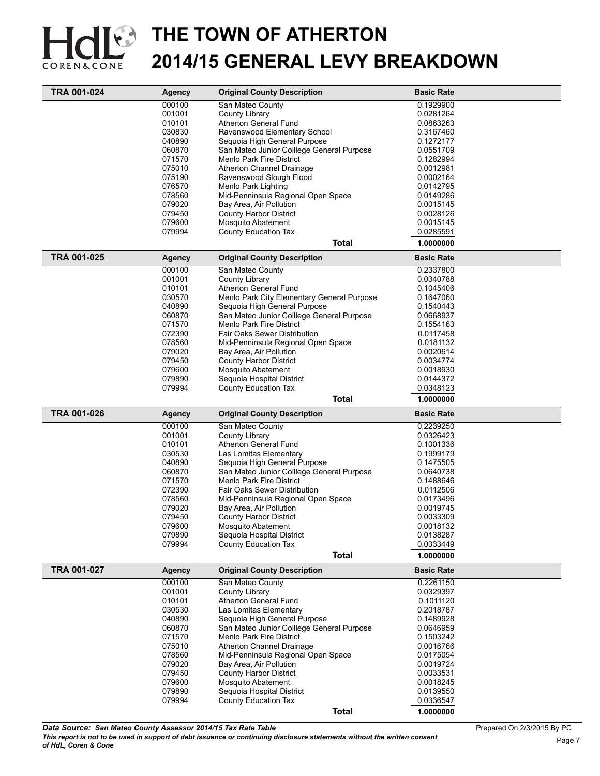

| <b>TRA 001-024</b> | Agency           | <b>Original County Description</b>                                           | <b>Basic Rate</b>      |
|--------------------|------------------|------------------------------------------------------------------------------|------------------------|
|                    | 000100           | San Mateo County                                                             | 0.1929900              |
|                    | 001001           | County Library                                                               | 0.0281264              |
|                    | 010101           | Atherton General Fund                                                        | 0.0863263              |
|                    | 030830           | Ravenswood Elementary School                                                 | 0.3167460              |
|                    | 040890           | Sequoia High General Purpose                                                 | 0.1272177              |
|                    | 060870           | San Mateo Junior Colllege General Purpose                                    | 0.0551709              |
|                    | 071570           | Menlo Park Fire District                                                     | 0.1282994              |
|                    | 075010           | Atherton Channel Drainage                                                    | 0.0012981              |
|                    | 075190           | Ravenswood Slough Flood                                                      | 0.0002164              |
|                    | 076570           | Menlo Park Lighting                                                          | 0.0142795              |
|                    | 078560           | Mid-Penninsula Regional Open Space                                           | 0.0149286              |
|                    | 079020           | Bay Area, Air Pollution<br><b>County Harbor District</b>                     | 0.0015145              |
|                    | 079450<br>079600 | Mosquito Abatement                                                           | 0.0028126<br>0.0015145 |
|                    | 079994           | County Education Tax                                                         | 0.0285591              |
|                    |                  | <b>Total</b>                                                                 | 1.0000000              |
|                    |                  |                                                                              |                        |
| TRA 001-025        | <b>Agency</b>    | <b>Original County Description</b>                                           | <b>Basic Rate</b>      |
|                    | 000100           | San Mateo County<br>County Library                                           | 0.2337800              |
|                    | 001001<br>010101 | Atherton General Fund                                                        | 0.0340788              |
|                    | 030570           | Menlo Park City Elementary General Purpose                                   | 0.1045406<br>0.1647060 |
|                    | 040890           | Sequoia High General Purpose                                                 | 0.1540443              |
|                    | 060870           | San Mateo Junior Colllege General Purpose                                    | 0.0668937              |
|                    | 071570           | <b>Menlo Park Fire District</b>                                              | 0.1554163              |
|                    | 072390           | <b>Fair Oaks Sewer Distribution</b>                                          | 0.0117458              |
|                    | 078560           | Mid-Penninsula Regional Open Space                                           | 0.0181132              |
|                    | 079020           | Bay Area, Air Pollution                                                      | 0.0020614              |
|                    | 079450           | <b>County Harbor District</b>                                                | 0.0034774              |
|                    | 079600           | Mosquito Abatement                                                           | 0.0018930              |
|                    | 079890           | Sequoia Hospital District                                                    | 0.0144372              |
|                    | 079994           | <b>County Education Tax</b>                                                  | 0.0348123              |
|                    |                  | <b>Total</b>                                                                 | 1.0000000              |
| TRA 001-026        | <b>Agency</b>    | <b>Original County Description</b>                                           | <b>Basic Rate</b>      |
|                    | 000100           | San Mateo County                                                             | 0.2239250              |
|                    | 001001           | County Library                                                               | 0.0326423              |
|                    | 010101           | Atherton General Fund                                                        | 0.1001336              |
|                    | 030530           | Las Lomitas Elementary                                                       | 0.1999179              |
|                    | 040890           | Seguoia High General Purpose                                                 | 0.1475505              |
|                    | 060870<br>071570 | San Mateo Junior Colllege General Purpose<br><b>Menlo Park Fire District</b> | 0.0640738              |
|                    | 072390           | <b>Fair Oaks Sewer Distribution</b>                                          | 0.1488646<br>0.0112506 |
|                    | 078560           | Mid-Penninsula Regional Open Space                                           | 0.0173496              |
|                    | 079020           | Bay Area, Air Pollution                                                      | 0.0019745              |
|                    | 079450           | <b>County Harbor District</b>                                                | 0.0033309              |
|                    | 079600           | Mosquito Abatement                                                           | 0.0018132              |
|                    | 079890           | Sequoia Hospital District                                                    | 0.0138287              |
|                    | 079994           | <b>County Education Tax</b>                                                  | 0.0333449              |
|                    |                  | <b>Total</b>                                                                 | 1.0000000              |
| TRA 001-027        | <b>Agency</b>    | <b>Original County Description</b>                                           | <b>Basic Rate</b>      |
|                    | 000100           | San Mateo County                                                             | 0.2261150              |
|                    | 001001           | County Library                                                               | 0.0329397              |
|                    | 010101           | Atherton General Fund                                                        | 0.1011120              |
|                    | 030530           | Las Lomitas Elementary                                                       | 0.2018787              |
|                    | 040890           | Sequoia High General Purpose                                                 | 0.1489928              |
|                    | 060870<br>071570 | San Mateo Junior Colllege General Purpose<br>Menlo Park Fire District        | 0.0646959              |
|                    | 075010           | Atherton Channel Drainage                                                    | 0.1503242<br>0.0016766 |
|                    | 078560           | Mid-Penninsula Regional Open Space                                           | 0.0175054              |
|                    | 079020           | Bay Area, Air Pollution                                                      | 0.0019724              |
|                    | 079450           | <b>County Harbor District</b>                                                | 0.0033531              |
|                    | 079600           | Mosquito Abatement                                                           | 0.0018245              |
|                    | 079890           | Sequoia Hospital District                                                    | 0.0139550              |
|                    | 079994           | <b>County Education Tax</b>                                                  | 0.0336547              |
|                    |                  | <b>Total</b>                                                                 | 1.0000000              |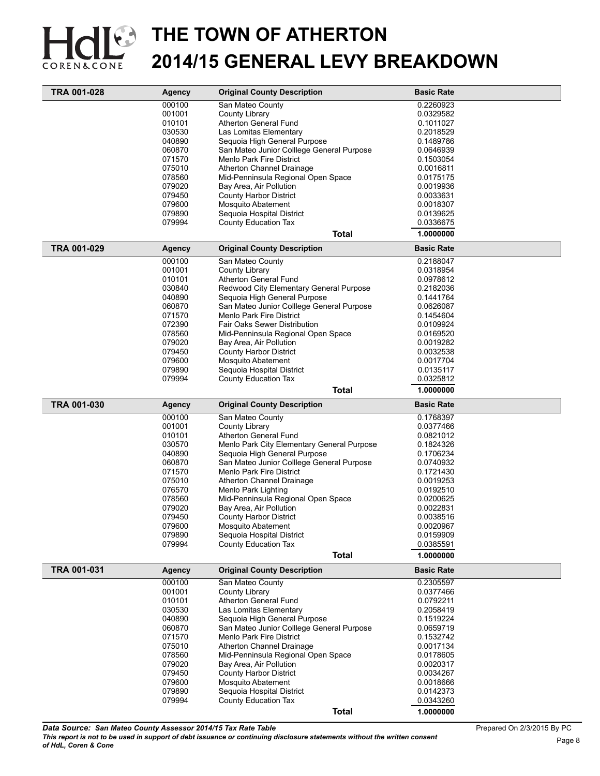

| TRA 001-028        | <b>Agency</b> | <b>Original County Description</b>         | <b>Basic Rate</b> |
|--------------------|---------------|--------------------------------------------|-------------------|
|                    | 000100        | San Mateo County                           | 0.2260923         |
|                    | 001001        | County Library                             | 0.0329582         |
|                    | 010101        | Atherton General Fund                      | 0.1011027         |
|                    | 030530        | Las Lomitas Elementary                     | 0.2018529         |
|                    | 040890        | Sequoia High General Purpose               | 0.1489786         |
|                    | 060870        | San Mateo Junior Colllege General Purpose  | 0.0646939         |
|                    | 071570        | Menlo Park Fire District                   | 0.1503054         |
|                    | 075010        | <b>Atherton Channel Drainage</b>           | 0.0016811         |
|                    | 078560        | Mid-Penninsula Regional Open Space         | 0.0175175         |
|                    | 079020        | Bay Area, Air Pollution                    | 0.0019936         |
|                    | 079450        | <b>County Harbor District</b>              | 0.0033631         |
|                    | 079600        | <b>Mosquito Abatement</b>                  | 0.0018307         |
|                    | 079890        | Sequoia Hospital District                  | 0.0139625         |
|                    | 079994        | <b>County Education Tax</b>                | 0.0336675         |
|                    |               | <b>Total</b>                               | 1.0000000         |
| <b>TRA 001-029</b> | <b>Agency</b> | <b>Original County Description</b>         | <b>Basic Rate</b> |
|                    | 000100        | San Mateo County                           | 0.2188047         |
|                    | 001001        | County Library                             | 0.0318954         |
|                    | 010101        | Atherton General Fund                      | 0.0978612         |
|                    | 030840        | Redwood City Elementary General Purpose    | 0.2182036         |
|                    | 040890        | Sequoia High General Purpose               | 0.1441764         |
|                    | 060870        | San Mateo Junior Colllege General Purpose  | 0.0626087         |
|                    | 071570        | <b>Menlo Park Fire District</b>            | 0.1454604         |
|                    | 072390        | Fair Oaks Sewer Distribution               | 0.0109924         |
|                    | 078560        | Mid-Penninsula Regional Open Space         | 0.0169520         |
|                    | 079020        | Bay Area, Air Pollution                    | 0.0019282         |
|                    | 079450        | <b>County Harbor District</b>              | 0.0032538         |
|                    | 079600        | <b>Mosquito Abatement</b>                  | 0.0017704         |
|                    | 079890        | Sequoia Hospital District                  | 0.0135117         |
|                    | 079994        | County Education Tax                       | 0.0325812         |
|                    |               | <b>Total</b>                               | 1.0000000         |
| TRA 001-030        |               | <b>Original County Description</b>         | <b>Basic Rate</b> |
|                    | <b>Agency</b> |                                            |                   |
|                    | 000100        | San Mateo County                           | 0.1768397         |
|                    | 001001        | County Library                             | 0.0377466         |
|                    | 010101        | Atherton General Fund                      | 0.0821012         |
|                    | 030570        | Menlo Park City Elementary General Purpose | 0.1824326         |
|                    | 040890        | Sequoia High General Purpose               | 0.1706234         |
|                    | 060870        | San Mateo Junior Colllege General Purpose  | 0.0740932         |
|                    | 071570        | <b>Menlo Park Fire District</b>            | 0.1721430         |
|                    | 075010        | Atherton Channel Drainage                  | 0.0019253         |
|                    | 076570        | Menlo Park Lighting                        | 0.0192510         |
|                    | 078560        | Mid-Penninsula Regional Open Space         | 0.0200625         |
|                    | 079020        | Bay Area, Air Pollution                    | 0.0022831         |
|                    | 079450        | <b>County Harbor District</b>              | 0.0038516         |
|                    | 079600        | <b>Mosquito Abatement</b>                  | 0.0020967         |
|                    | 079890        | Seguoia Hospital District                  | 0.0159909         |
|                    | 079994        | <b>County Education Tax</b>                | 0.0385591         |
|                    |               | <b>Total</b>                               | 1.0000000         |
| TRA 001-031        | <b>Agency</b> | <b>Original County Description</b>         | <b>Basic Rate</b> |
|                    | 000100        | San Mateo County                           | 0.2305597         |
|                    | 001001        | County Library                             | 0.0377466         |
|                    | 010101        | Atherton General Fund                      | 0.0792211         |
|                    | 030530        | Las Lomitas Elementary                     | 0.2058419         |
|                    | 040890        | Sequoia High General Purpose               | 0.1519224         |
|                    | 060870        | San Mateo Junior Colllege General Purpose  | 0.0659719         |
|                    | 071570        | <b>Menlo Park Fire District</b>            | 0.1532742         |
|                    | 075010        | Atherton Channel Drainage                  | 0.0017134         |
|                    | 078560        | Mid-Penninsula Regional Open Space         | 0.0178605         |
|                    | 079020        | Bay Area, Air Pollution                    | 0.0020317         |
|                    | 079450        | <b>County Harbor District</b>              | 0.0034267         |
|                    | 079600        | Mosquito Abatement                         | 0.0018666         |
|                    | 079890        | Sequoia Hospital District                  | 0.0142373         |
|                    | 079994        | County Education Tax                       | 0.0343260         |
|                    |               | <b>Total</b>                               | 1.0000000         |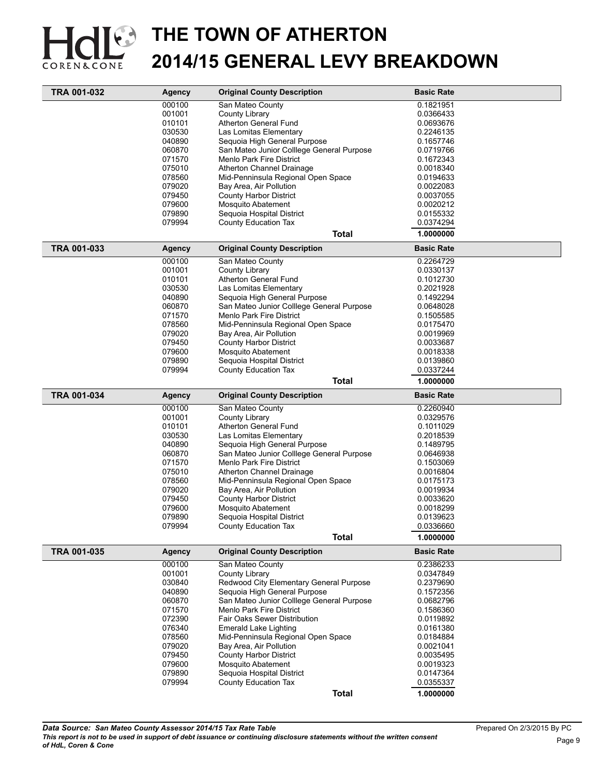

| TRA 001-032 | <b>Agency</b> | <b>Original County Description</b>                            | <b>Basic Rate</b> |  |
|-------------|---------------|---------------------------------------------------------------|-------------------|--|
|             | 000100        | San Mateo County                                              | 0.1821951         |  |
|             | 001001        | County Library                                                | 0.0366433         |  |
|             | 010101        | Atherton General Fund                                         | 0.0693676         |  |
|             | 030530        | Las Lomitas Elementary                                        | 0.2246135         |  |
|             | 040890        | Sequoia High General Purpose                                  | 0.1657746         |  |
|             | 060870        | San Mateo Junior Colllege General Purpose                     | 0.0719766         |  |
|             | 071570        | Menlo Park Fire District                                      | 0.1672343         |  |
|             | 075010        | Atherton Channel Drainage                                     | 0.0018340         |  |
|             | 078560        | Mid-Penninsula Regional Open Space                            | 0.0194633         |  |
|             | 079020        | Bay Area, Air Pollution                                       | 0.0022083         |  |
|             | 079450        | <b>County Harbor District</b>                                 | 0.0037055         |  |
|             | 079600        | <b>Mosquito Abatement</b>                                     | 0.0020212         |  |
|             | 079890        | Sequoia Hospital District                                     | 0.0155332         |  |
|             | 079994        | County Education Tax                                          | 0.0374294         |  |
|             |               |                                                               |                   |  |
|             |               | <b>Total</b>                                                  | 1.0000000         |  |
| TRA 001-033 | Agency        | <b>Original County Description</b>                            | <b>Basic Rate</b> |  |
|             | 000100        | San Mateo County                                              | 0.2264729         |  |
|             | 001001        | County Library                                                | 0.0330137         |  |
|             | 010101        | Atherton General Fund                                         | 0.1012730         |  |
|             | 030530        | Las Lomitas Elementary                                        | 0.2021928         |  |
|             | 040890        | Sequoia High General Purpose                                  | 0.1492294         |  |
|             | 060870        | San Mateo Junior Colllege General Purpose                     | 0.0648028         |  |
|             | 071570        | Menlo Park Fire District                                      | 0.1505585         |  |
|             | 078560        | Mid-Penninsula Regional Open Space                            | 0.0175470         |  |
|             | 079020        | Bay Area, Air Pollution                                       | 0.0019969         |  |
|             | 079450        | <b>County Harbor District</b>                                 | 0.0033687         |  |
|             | 079600        | <b>Mosquito Abatement</b>                                     | 0.0018338         |  |
|             | 079890        | Sequoia Hospital District                                     | 0.0139860         |  |
|             | 079994        | <b>County Education Tax</b>                                   | 0.0337244         |  |
|             |               | <b>Total</b>                                                  | 1.0000000         |  |
| TRA 001-034 | <b>Agency</b> | <b>Original County Description</b>                            | <b>Basic Rate</b> |  |
|             | 000100        | San Mateo County                                              | 0.2260940         |  |
|             | 001001        | County Library                                                | 0.0329576         |  |
|             | 010101        | Atherton General Fund                                         | 0.1011029         |  |
|             | 030530        | Las Lomitas Elementary                                        | 0.2018539         |  |
|             | 040890        | Sequoia High General Purpose                                  | 0.1489795         |  |
|             | 060870        | San Mateo Junior Colllege General Purpose                     | 0.0646938         |  |
|             | 071570        | Menlo Park Fire District                                      | 0.1503069         |  |
|             | 075010        |                                                               | 0.0016804         |  |
|             | 078560        | Atherton Channel Drainage                                     | 0.0175173         |  |
|             |               | Mid-Penninsula Regional Open Space<br>Bay Area, Air Pollution |                   |  |
|             | 079020        |                                                               | 0.0019934         |  |
|             | 079450        | <b>County Harbor District</b>                                 | 0.0033620         |  |
|             | 079600        | Mosquito Abatement                                            | 0.0018299         |  |
|             | 079890        | Sequoia Hospital District                                     | 0.0139623         |  |
|             | 079994        | County Education Tax                                          | 0.0336660         |  |
|             |               | <b>Total</b>                                                  | 1.0000000         |  |
| TRA 001-035 | Agency        | <b>Original County Description</b>                            | <b>Basic Rate</b> |  |
|             | 000100        | San Mateo County                                              | 0.2386233         |  |
|             | 001001        | County Library                                                | 0.0347849         |  |
|             | 030840        | Redwood City Elementary General Purpose                       | 0.2379690         |  |
|             | 040890        | Sequoia High General Purpose                                  | 0.1572356         |  |
|             | 060870        | San Mateo Junior Colllege General Purpose                     | 0.0682796         |  |
|             | 071570        | <b>Menlo Park Fire District</b>                               | 0.1586360         |  |
|             | 072390        | <b>Fair Oaks Sewer Distribution</b>                           | 0.0119892         |  |
|             | 076340        | Emerald Lake Lighting                                         | 0.0161380         |  |
|             | 078560        | Mid-Penninsula Regional Open Space                            | 0.0184884         |  |
|             | 079020        | Bay Area, Air Pollution                                       | 0.0021041         |  |
|             | 079450        | <b>County Harbor District</b>                                 | 0.0035495         |  |
|             | 079600        | Mosquito Abatement                                            | 0.0019323         |  |
|             | 079890        | Sequoia Hospital District                                     | 0.0147364         |  |
|             | 079994        | County Education Tax                                          | 0.0355337         |  |
|             |               | <b>Total</b>                                                  | 1.0000000         |  |